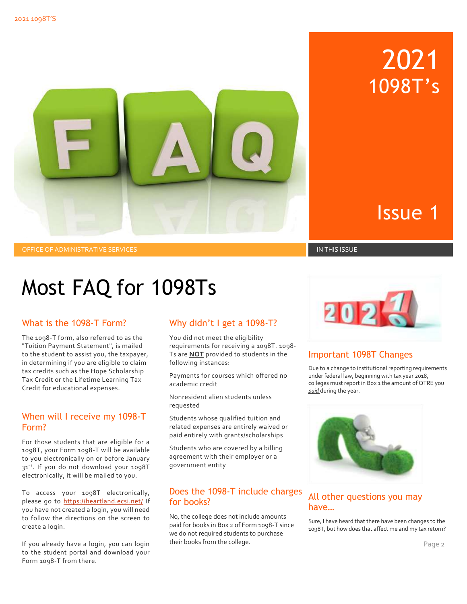

# Issue 1

2021

1098T's

OFFICE OF ADMINISTRATIVE SERVICES IN THIS ISSUE IN THIS ISSUE IN THIS ISSUE IN THIS ISSUE

# Most FAQ for 1098Ts

# What is the 1098-T Form?

 The 1098-T form, also referred to as the in determining if you are eligible to claim "Tuition Payment Statement", is mailed to the student to assist you, the taxpayer, tax credits such as the Hope Scholarship Tax Credit or the Lifetime Learning Tax Credit for educational expenses.

# When will I receive my 1098-T Form?

 electronically, it will be mailed to you. For those students that are eligible for a 1098T, your Form 1098-T will be available to you electronically on or before January 31st. If you do not download your 1098T

 you have not created a login, you will need to follow the directions on the screen to To access your 1098T electronically, please go to<https://heartland.ecsi.net/>If create a login.

 Form 1098-T from there. If you already have a login, you can login to the student portal and download your

# Why didn't I get a 1098-T?

 You did not meet the eligibility Ts are **NOT** provided to students in the requirements for receiving a 1098T. 1098 following instances:

Payments for courses which offered no academic credit

Nonresident alien students unless requested

 related expenses are entirely waived or paid entirely with grants/scholarships Students whose qualified tuition and

Students who are covered by a billing agreement with their employer or a government entity

# Does the 1098-T include charges for books?

No, the college does not include amounts paid for books in Box 2 of Form 1098-T since we do not required students to purchase their books from the college.



### Important 1098T Changes

 Due to a change to institutional reporting requirements under federal law, beginning with tax year 2018, colleges must report in Box 1 the amount of QTRE you *paid* during the year.



# All other questions you may have…

 Sure, I have heard that there have been changes to the 1098T, but how does that affect me and my tax return?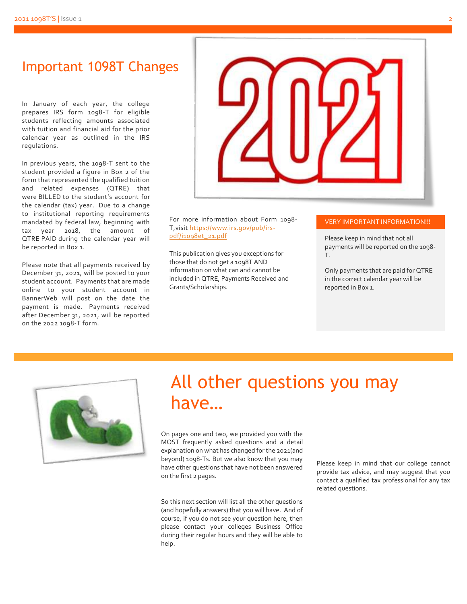students reflecting amounts associated **Important 1098T Changes**<br>
In January of each year, the college<br>
prepares IRS form 1098-T for eligible<br>
students reflecting amounts associated<br>
with tuition and financial aid for the prior<br>
calendar year as outlined in the In January of each year, the college prepares IRS form 1098-T for eligible with tuition and financial aid for the prior calendar year as outlined in the IRS regulations.

 student provided a figure in Box 2 of the were BILLED to the student's account for to institutional reporting requirements mandated by federal law, beginning with QTRE PAID during the calendar year will In previous years, the 1098-T sent to the form that represented the qualified tuition and related expenses (QTRE) that the calendar (tax) year. Due to a change tax year 2018, the amount of be reported in Box 1.

 December 31, 2021, will be posted to your student account. Payments that are made BannerWeb will post on the date the payment is made. Payments received Please note that all payments received by online to your student account in after December 31, 2021, will be reported on the 2022 1098-T form.



 For more information about Form 1098- T,visi[t https://www.irs.gov/pub/irs](https://www.irs.gov/pub/irs-pdf/i1098et_21.pdf)[pdf/i1098et\\_21.pdf](https://www.irs.gov/pub/irs-pdf/i1098et_21.pdf) 

This publication gives you exceptions for those that do not get a 1098T AND information on what can and cannot be included in QTRE, Payments Received and Grants/Scholarships.

#### VERY IMPORTANT INFORMATION!!!

Please keep in mind that not all payments will be reported on the 1098- T.

Only payments that are paid for QTRE in the correct calendar year will be reported in Box 1.



# All other questions you may have…

 On pages one and two, we provided you with the MOST frequently asked questions and a detail explanation on what has changed for the 2021(and beyond) 1098-Ts. But we also know that you may<br>have other questions that have not been answered<br>on the first 2 pages.<br>contact a qualified tax professional for any tax

So this next section will list all the other questions (and hopefully answers) that you will have. And of course, if you do not see your question here, then please contact your colleges Business Office during their regular hours and they will be able to help.

related questions.